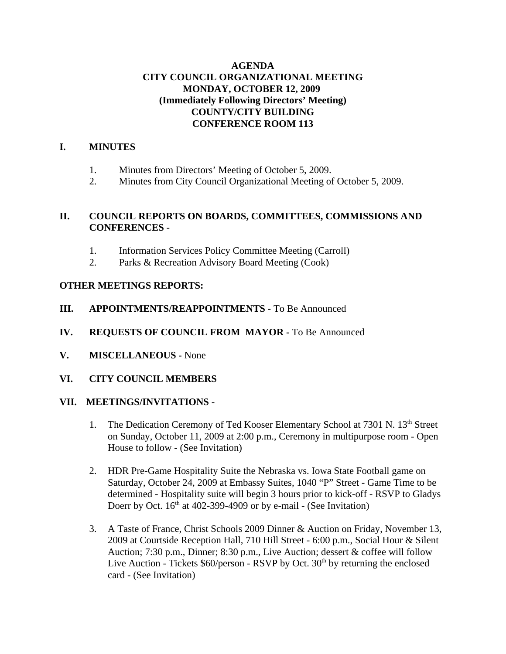## **AGENDA CITY COUNCIL ORGANIZATIONAL MEETING MONDAY, OCTOBER 12, 2009 (Immediately Following Directors' Meeting) COUNTY/CITY BUILDING CONFERENCE ROOM 113**

## **I. MINUTES**

- 1. Minutes from Directors' Meeting of October 5, 2009.
- 2. Minutes from City Council Organizational Meeting of October 5, 2009.

## **II. COUNCIL REPORTS ON BOARDS, COMMITTEES, COMMISSIONS AND CONFERENCES** -

- 1. Information Services Policy Committee Meeting (Carroll)
- 2. Parks & Recreation Advisory Board Meeting (Cook)

## **OTHER MEETINGS REPORTS:**

- **III. APPOINTMENTS/REAPPOINTMENTS -** To Be Announced
- **IV. REQUESTS OF COUNCIL FROM MAYOR -** To Be Announced
- **V. MISCELLANEOUS -** None
- **VI. CITY COUNCIL MEMBERS**

#### **VII. MEETINGS/INVITATIONS -**

- 1. The Dedication Ceremony of Ted Kooser Elementary School at 7301 N. 13<sup>th</sup> Street on Sunday, October 11, 2009 at 2:00 p.m., Ceremony in multipurpose room - Open House to follow - (See Invitation)
- 2. HDR Pre-Game Hospitality Suite the Nebraska vs. Iowa State Football game on Saturday, October 24, 2009 at Embassy Suites, 1040 "P" Street - Game Time to be determined - Hospitality suite will begin 3 hours prior to kick-off - RSVP to Gladys Doerr by Oct.  $16<sup>th</sup>$  at 402-399-4909 or by e-mail - (See Invitation)
- 3. A Taste of France, Christ Schools 2009 Dinner & Auction on Friday, November 13, 2009 at Courtside Reception Hall, 710 Hill Street - 6:00 p.m., Social Hour & Silent Auction; 7:30 p.m., Dinner; 8:30 p.m., Live Auction; dessert & coffee will follow Live Auction - Tickets  $$60/person$  - RSVP by Oct.  $30<sup>th</sup>$  by returning the enclosed card - (See Invitation)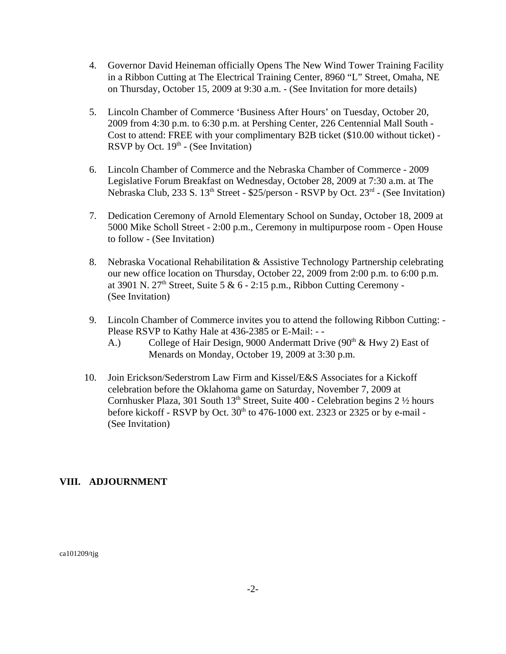- 4. Governor David Heineman officially Opens The New Wind Tower Training Facility in a Ribbon Cutting at The Electrical Training Center, 8960 "L" Street, Omaha, NE on Thursday, October 15, 2009 at 9:30 a.m. - (See Invitation for more details)
- 5. Lincoln Chamber of Commerce 'Business After Hours' on Tuesday, October 20, 2009 from 4:30 p.m. to 6:30 p.m. at Pershing Center, 226 Centennial Mall South - Cost to attend: FREE with your complimentary B2B ticket (\$10.00 without ticket) - RSVP by Oct.  $19<sup>th</sup>$  - (See Invitation)
- 6. Lincoln Chamber of Commerce and the Nebraska Chamber of Commerce 2009 Legislative Forum Breakfast on Wednesday, October 28, 2009 at 7:30 a.m. at The Nebraska Club, 233 S. 13<sup>th</sup> Street - \$25/person - RSVP by Oct. 23<sup>rd</sup> - (See Invitation)
- 7. Dedication Ceremony of Arnold Elementary School on Sunday, October 18, 2009 at 5000 Mike Scholl Street - 2:00 p.m., Ceremony in multipurpose room - Open House to follow - (See Invitation)
- 8. Nebraska Vocational Rehabilitation & Assistive Technology Partnership celebrating our new office location on Thursday, October 22, 2009 from 2:00 p.m. to 6:00 p.m. at 3901 N.  $27<sup>th</sup>$  Street, Suite 5 & 6 - 2:15 p.m., Ribbon Cutting Ceremony -(See Invitation)
- 9. Lincoln Chamber of Commerce invites you to attend the following Ribbon Cutting: Please RSVP to Kathy Hale at 436-2385 or E-Mail: - -
	- A.) College of Hair Design, 9000 Andermatt Drive (90<sup>th</sup> & Hwy 2) East of Menards on Monday, October 19, 2009 at 3:30 p.m.
- 10. Join Erickson/Sederstrom Law Firm and Kissel/E&S Associates for a Kickoff celebration before the Oklahoma game on Saturday, November 7, 2009 at Cornhusker Plaza, 301 South  $13<sup>th</sup>$  Street, Suite 400 - Celebration begins 2  $\frac{1}{2}$  hours before kickoff - RSVP by Oct.  $30<sup>th</sup>$  to 476-1000 ext. 2323 or 2325 or by e-mail -(See Invitation)

## **VIII. ADJOURNMENT**

ca101209/tjg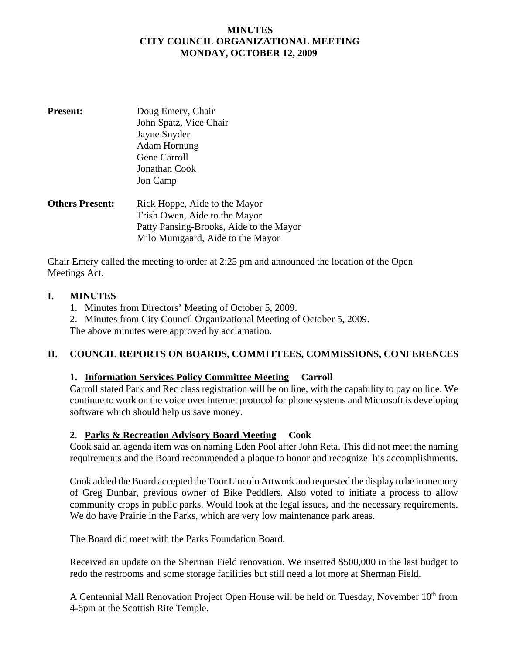## **MINUTES CITY COUNCIL ORGANIZATIONAL MEETING MONDAY, OCTOBER 12, 2009**

| <b>Present:</b>        | Doug Emery, Chair                       |
|------------------------|-----------------------------------------|
|                        | John Spatz, Vice Chair                  |
|                        | Jayne Snyder                            |
|                        | Adam Hornung                            |
|                        | Gene Carroll                            |
|                        | Jonathan Cook                           |
|                        | Jon Camp                                |
| <b>Others Present:</b> | Rick Hoppe, Aide to the Mayor           |
|                        | Trish Owen, Aide to the Mayor           |
|                        | Patty Pansing-Brooks, Aide to the Mayor |
|                        | Milo Mumgaard, Aide to the Mayor        |

Chair Emery called the meeting to order at 2:25 pm and announced the location of the Open Meetings Act.

#### **I. MINUTES**

- 1. Minutes from Directors' Meeting of October 5, 2009.
- 2. Minutes from City Council Organizational Meeting of October 5, 2009. The above minutes were approved by acclamation.

## **II. COUNCIL REPORTS ON BOARDS, COMMITTEES, COMMISSIONS, CONFERENCES**

#### **1. Information Services Policy Committee Meeting Carroll**

Carroll stated Park and Rec class registration will be on line, with the capability to pay on line. We continue to work on the voice over internet protocol for phone systems and Microsoft is developing software which should help us save money.

#### **2**. **Parks & Recreation Advisory Board Meeting Cook**

Cook said an agenda item was on naming Eden Pool after John Reta. This did not meet the naming requirements and the Board recommended a plaque to honor and recognize his accomplishments.

Cook added the Board accepted the Tour Lincoln Artwork and requested the display to be in memory of Greg Dunbar, previous owner of Bike Peddlers. Also voted to initiate a process to allow community crops in public parks. Would look at the legal issues, and the necessary requirements. We do have Prairie in the Parks, which are very low maintenance park areas.

The Board did meet with the Parks Foundation Board.

Received an update on the Sherman Field renovation. We inserted \$500,000 in the last budget to redo the restrooms and some storage facilities but still need a lot more at Sherman Field.

A Centennial Mall Renovation Project Open House will be held on Tuesday, November 10<sup>th</sup> from 4-6pm at the Scottish Rite Temple.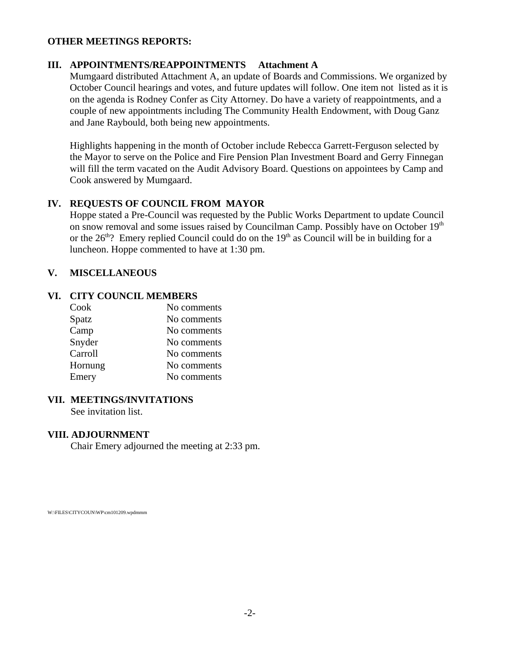#### **OTHER MEETINGS REPORTS:**

#### **III. APPOINTMENTS/REAPPOINTMENTS Attachment A**

Mumgaard distributed Attachment A, an update of Boards and Commissions. We organized by October Council hearings and votes, and future updates will follow. One item not listed as it is on the agenda is Rodney Confer as City Attorney. Do have a variety of reappointments, and a couple of new appointments including The Community Health Endowment, with Doug Ganz and Jane Raybould, both being new appointments.

Highlights happening in the month of October include Rebecca Garrett-Ferguson selected by the Mayor to serve on the Police and Fire Pension Plan Investment Board and Gerry Finnegan will fill the term vacated on the Audit Advisory Board. Questions on appointees by Camp and Cook answered by Mumgaard.

## **IV. REQUESTS OF COUNCIL FROM MAYOR**

Hoppe stated a Pre-Council was requested by the Public Works Department to update Council on snow removal and some issues raised by Councilman Camp. Possibly have on October 19<sup>th</sup> or the  $26<sup>th</sup>$ ? Emery replied Council could do on the  $19<sup>th</sup>$  as Council will be in building for a luncheon. Hoppe commented to have at 1:30 pm.

#### **V. MISCELLANEOUS**

#### **VI. CITY COUNCIL MEMBERS**

| Cook    | No comments |
|---------|-------------|
| Spatz   | No comments |
| Camp    | No comments |
| Snyder  | No comments |
| Carroll | No comments |
| Hornung | No comments |
| Emery   | No comments |

#### **VII. MEETINGS/INVITATIONS**

See invitation list.

#### **VIII. ADJOURNMENT**

Chair Emery adjourned the meeting at 2:33 pm.

W:\FILES\CITYCOUN\WP\cm101209.wpdmmm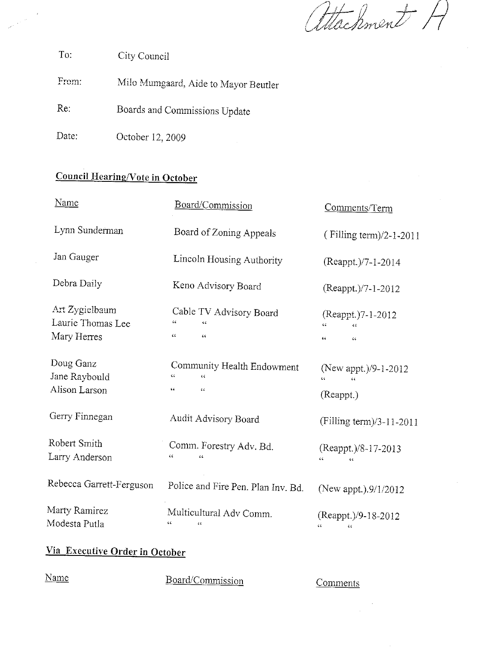attachment A

To: City Council

From: Milo Mumgaard, Aide to Mayor Beutler

Re: Boards and Commissions Update

Date: October 12, 2009

# **Council Hearing/Vote in October**

| <u>Name</u>                                        | Board/Commission<br>Comments/Term                                                         |                                                   |  |
|----------------------------------------------------|-------------------------------------------------------------------------------------------|---------------------------------------------------|--|
| Lynn Sunderman                                     | Board of Zoning Appeals                                                                   | (Filling term)/2-1-2011                           |  |
| Jan Gauger                                         | Lincoln Housing Authority                                                                 | (Reappt.)/7-1-2014                                |  |
| Debra Daily                                        | Keno Advisory Board                                                                       | (Reappt.)/7-1-2012                                |  |
| Art Zygielbaum<br>Laurie Thomas Lee<br>Mary Herres | Cable TV Advisory Board<br>66<br>٤ċ<br>$\zeta \zeta$<br>$\mathcal{L} \subset \mathcal{L}$ | (Reappt.)7-1-2012<br>٤ċ<br>$\epsilon$<br>٤ċ<br>44 |  |
| Doug Ganz<br>Jane Raybould<br>Alison Larson        | Community Health Endowment<br>ćζ<br>$\epsilon$<br>$\epsilon$ $c$                          | (New appt.)/9-1-2012<br>٤£<br>66<br>(Reappt.)     |  |
| Gerry Finnegan                                     | Audit Advisory Board                                                                      | (Filling term)/3-11-2011                          |  |
| Robert Smith<br>Larry Anderson                     | Comm. Forestry Adv. Bd.<br>66                                                             | (Reappt.)/8-17-2013<br>$\epsilon$<br>44           |  |
| Rebecca Garrett-Ferguson                           | Police and Fire Pen. Plan Inv. Bd.                                                        | (New appt.).9/1/2012                              |  |
| Marty Ramirez<br>Modesta Putla                     | Multicultural Adv Comm.<br>¢¢<br>64                                                       | (Reappt.)/9-18-2012<br>٤ċ<br>$\zeta$              |  |

## Via Executive Order in October

| Name<br>_______ | Board/Commission | Comments |
|-----------------|------------------|----------|
|-----------------|------------------|----------|